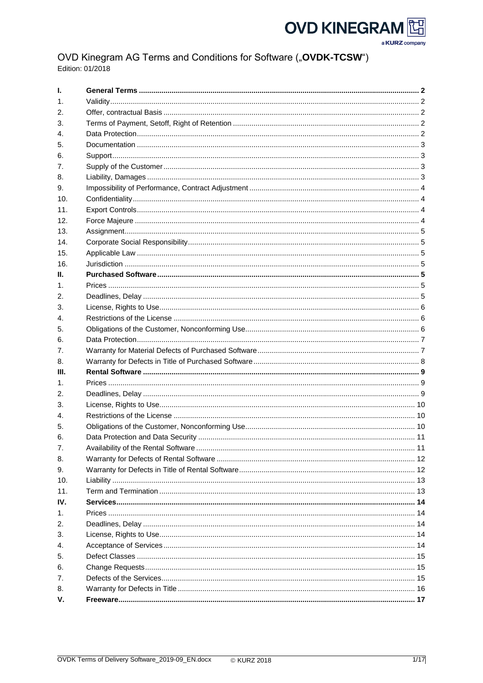# **OVD KINEGRAM** 可口



# OVD Kinegram AG Terms and Conditions for Software ("OVDK-TCSW") Edition: 01/2018

| Ι.             |  |
|----------------|--|
| $\mathbf{1}$ . |  |
| 2.             |  |
| З.             |  |
| 4.             |  |
| 5.             |  |
| 6.             |  |
| 7.             |  |
| 8.             |  |
| 9.             |  |
| 10.            |  |
| 11.            |  |
| 12.            |  |
| 13.            |  |
| 14.            |  |
| 15.            |  |
| 16.            |  |
| Ш.             |  |
|                |  |
| 1.             |  |
| 2.             |  |
| 3.             |  |
| 4.             |  |
| 5.             |  |
| 6.             |  |
| 7.             |  |
| 8.             |  |
| III.           |  |
| 1.             |  |
| 2.             |  |
| 3.             |  |
| 4.             |  |
| 5.             |  |
| 6.             |  |
| 7.             |  |
| 8.             |  |
| 9.             |  |
| 10.            |  |
| 11.            |  |
| IV.            |  |
| 1.             |  |
| 2.             |  |
| 3.             |  |
| 4.             |  |
| 5.             |  |
| 6.             |  |
| 7.             |  |
| 8.             |  |
| v.             |  |
|                |  |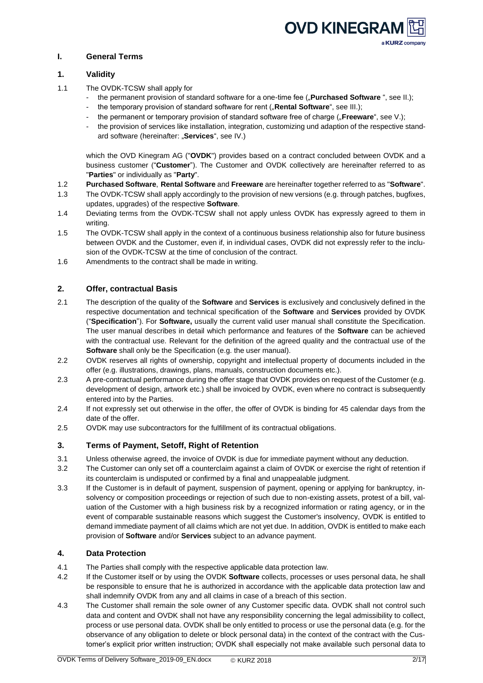

# <span id="page-1-0"></span>**I. General Terms**

## <span id="page-1-1"></span>**1. Validity**

- 1.1 The OVDK-TCSW shall apply for
	- the permanent provision of standard software for a one-time fee ("**Purchased Software**", see II.);
	- the temporary provision of standard software for rent ("**Rental Software**", see III.);
	- the permanent or temporary provision of standard software free of charge ("**Freeware**", see V.);
	- the provision of services like installation, integration, customizing und adaption of the respective standard software (hereinafter: "Services", see IV.)

which the OVD Kinegram AG ("**OVDK**") provides based on a contract concluded between OVDK and a business customer ("**Customer**"). The Customer and OVDK collectively are hereinafter referred to as "**Parties**" or individually as "**Party**".

- 1.2 **Purchased Software**, **Rental Software** and **Freeware** are hereinafter together referred to as "**Software**".
- 1.3 The OVDK-TCSW shall apply accordingly to the provision of new versions (e.g. through patches, bugfixes, updates, upgrades) of the respective **Software**.
- 1.4 Deviating terms from the OVDK-TCSW shall not apply unless OVDK has expressly agreed to them in writing.
- 1.5 The OVDK-TCSW shall apply in the context of a continuous business relationship also for future business between OVDK and the Customer, even if, in individual cases, OVDK did not expressly refer to the inclusion of the OVDK-TCSW at the time of conclusion of the contract.
- 1.6 Amendments to the contract shall be made in writing.

# <span id="page-1-2"></span>**2. Offer, contractual Basis**

- 2.1 The description of the quality of the **Software** and **Services** is exclusively and conclusively defined in the respective documentation and technical specification of the **Software** and **Services** provided by OVDK ("**Specification**"). For **Software,** usually the current valid user manual shall constitute the Specification. The user manual describes in detail which performance and features of the **Software** can be achieved with the contractual use. Relevant for the definition of the agreed quality and the contractual use of the **Software** shall only be the Specification (e.g. the user manual).
- 2.2 OVDK reserves all rights of ownership, copyright and intellectual property of documents included in the offer (e.g. illustrations, drawings, plans, manuals, construction documents etc.).
- 2.3 A pre-contractual performance during the offer stage that OVDK provides on request of the Customer (e.g. development of design, artwork etc.) shall be invoiced by OVDK, even where no contract is subsequently entered into by the Parties.
- 2.4 If not expressly set out otherwise in the offer, the offer of OVDK is binding for 45 calendar days from the date of the offer.
- 2.5 OVDK may use subcontractors for the fulfillment of its contractual obligations.

# <span id="page-1-3"></span>**3. Terms of Payment, Setoff, Right of Retention**

- 3.1 Unless otherwise agreed, the invoice of OVDK is due for immediate payment without any deduction.
- 3.2 The Customer can only set off a counterclaim against a claim of OVDK or exercise the right of retention if its counterclaim is undisputed or confirmed by a final and unappealable judgment.
- 3.3 If the Customer is in default of payment, suspension of payment, opening or applying for bankruptcy, insolvency or composition proceedings or rejection of such due to non-existing assets, protest of a bill, valuation of the Customer with a high business risk by a recognized information or rating agency, or in the event of comparable sustainable reasons which suggest the Customer's insolvency, OVDK is entitled to demand immediate payment of all claims which are not yet due. In addition, OVDK is entitled to make each provision of **Software** and/or **Services** subject to an advance payment.

# <span id="page-1-4"></span>**4. Data Protection**

- 4.1 The Parties shall comply with the respective applicable data protection law.
- 4.2 If the Customer itself or by using the OVDK **Software** collects, processes or uses personal data, he shall be responsible to ensure that he is authorized in accordance with the applicable data protection law and shall indemnify OVDK from any and all claims in case of a breach of this section.
- 4.3 The Customer shall remain the sole owner of any Customer specific data. OVDK shall not control such data and content and OVDK shall not have any responsibility concerning the legal admissibility to collect, process or use personal data. OVDK shall be only entitled to process or use the personal data (e.g. for the observance of any obligation to delete or block personal data) in the context of the contract with the Customer's explicit prior written instruction; OVDK shall especially not make available such personal data to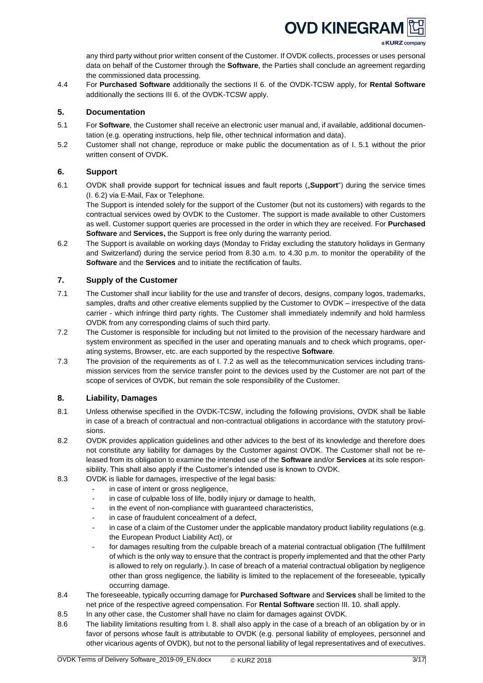

any third party without prior written consent of the Customer. If OVDK collects, processes or uses personal data on behalf of the Customer through the **Software**, the Parties shall conclude an agreement regarding the commissioned data processing.

4.4 For **Purchased Software** additionally the sections II 6. of the OVDK-TCSW apply, for **Rental Software** additionally the sections III 6. of the OVDK-TCSW apply.

## <span id="page-2-0"></span>**5. Documentation**

- 5.1 For **Software**, the Customer shall receive an electronic user manual and, if available, additional documentation (e.g. operating instructions, help file, other technical information and data).
- 5.2 Customer shall not change, reproduce or make public the documentation as of I. 5.1 without the prior written consent of OVDK.

## <span id="page-2-1"></span>**6. Support**

6.1 OVDK shall provide support for technical issues and fault reports ("**Support**") during the service times (I. 6.2) via E-Mail, Fax or Telephone.

The Support is intended solely for the support of the Customer (but not its customers) with regards to the contractual services owed by OVDK to the Customer. The support is made available to other Customers as well. Customer support queries are processed in the order in which they are received. For **Purchased Software** and **Services,** the Support is free only during the warranty period.

6.2 The Support is available on working days (Monday to Friday excluding the statutory holidays in Germany and Switzerland) during the service period from 8.30 a.m. to 4.30 p.m. to monitor the operability of the **Software** and the **Services** and to initiate the rectification of faults.

## <span id="page-2-2"></span>**7. Supply of the Customer**

- 7.1 The Customer shall incur liability for the use and transfer of decors, designs, company logos, trademarks, samples, drafts and other creative elements supplied by the Customer to OVDK – irrespective of the data carrier - which infringe third party rights. The Customer shall immediately indemnify and hold harmless OVDK from any corresponding claims of such third party.
- 7.2 The Customer is responsible for including but not limited to the provision of the necessary hardware and system environment as specified in the user and operating manuals and to check which programs, operating systems, Browser, etc. are each supported by the respective **Software**.
- 7.3 The provision of the requirements as of I. 7.2 as well as the telecommunication services including transmission services from the service transfer point to the devices used by the Customer are not part of the scope of services of OVDK, but remain the sole responsibility of the Customer.

## <span id="page-2-3"></span>**8. Liability, Damages**

- 8.1 Unless otherwise specified in the OVDK-TCSW, including the following provisions, OVDK shall be liable in case of a breach of contractual and non-contractual obligations in accordance with the statutory provisions.
- 8.2 OVDK provides application guidelines and other advices to the best of its knowledge and therefore does not constitute any liability for damages by the Customer against OVDK. The Customer shall not be released from its obligation to examine the intended use of the **Software** and/or **Services** at its sole responsibility. This shall also apply if the Customer's intended use is known to OVDK.
- 8.3 OVDK is liable for damages, irrespective of the legal basis:
	- in case of intent or gross negligence,
	- in case of culpable loss of life, bodily injury or damage to health,
	- in the event of non-compliance with guaranteed characteristics,
	- in case of fraudulent concealment of a defect,
	- in case of a claim of the Customer under the applicable mandatory product liability regulations (e.g. the European Product Liability Act), or
	- for damages resulting from the culpable breach of a material contractual obligation (The fulfillment of which is the only way to ensure that the contract is properly implemented and that the other Party is allowed to rely on regularly.). In case of breach of a material contractual obligation by negligence other than gross negligence, the liability is limited to the replacement of the foreseeable, typically occurring damage.
- 8.4 The foreseeable, typically occurring damage for **Purchased Software** and **Services** shall be limited to the net price of the respective agreed compensation. For **Rental Software** section III. 10. shall apply.
- 8.5 In any other case, the Customer shall have no claim for damages against OVDK.
- 8.6 The liability limitations resulting from I. 8. shall also apply in the case of a breach of an obligation by or in favor of persons whose fault is attributable to OVDK (e.g. personal liability of employees, personnel and other vicarious agents of OVDK), but not to the personal liability of legal representatives and of executives.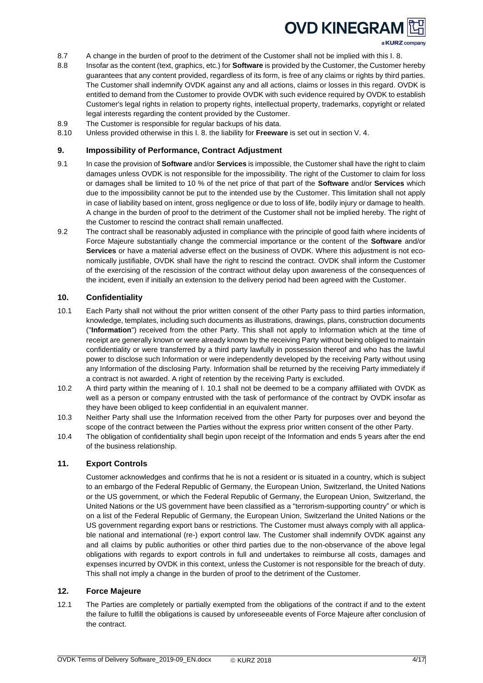

- 8.7 A change in the burden of proof to the detriment of the Customer shall not be implied with this I.8.
- 8.8 Insofar as the content (text, graphics, etc.) for **Software** is provided by the Customer, the Customer hereby guarantees that any content provided, regardless of its form, is free of any claims or rights by third parties. The Customer shall indemnify OVDK against any and all actions, claims or losses in this regard. OVDK is entitled to demand from the Customer to provide OVDK with such evidence required by OVDK to establish Customer's legal rights in relation to property rights, intellectual property, trademarks, copyright or related legal interests regarding the content provided by the Customer.
- 8.9 The Customer is responsible for regular backups of his data.
- 8.10 Unless provided otherwise in this I. 8. the liability for **Freeware** is set out in section V. 4.

## <span id="page-3-0"></span>**9. Impossibility of Performance, Contract Adjustment**

- 9.1 In case the provision of **Software** and/or **Services** is impossible, the Customer shall have the right to claim damages unless OVDK is not responsible for the impossibility. The right of the Customer to claim for loss or damages shall be limited to 10 % of the net price of that part of the **Software** and/or **Services** which due to the impossibility cannot be put to the intended use by the Customer. This limitation shall not apply in case of liability based on intent, gross negligence or due to loss of life, bodily injury or damage to health. A change in the burden of proof to the detriment of the Customer shall not be implied hereby. The right of the Customer to rescind the contract shall remain unaffected.
- 9.2 The contract shall be reasonably adjusted in compliance with the principle of good faith where incidents of Force Majeure substantially change the commercial importance or the content of the **Software** and/or **Services** or have a material adverse effect on the business of OVDK. Where this adjustment is not economically justifiable, OVDK shall have the right to rescind the contract. OVDK shall inform the Customer of the exercising of the rescission of the contract without delay upon awareness of the consequences of the incident, even if initially an extension to the delivery period had been agreed with the Customer.

# <span id="page-3-1"></span>**10. Confidentiality**

- 10.1 Each Party shall not without the prior written consent of the other Party pass to third parties information, knowledge, templates, including such documents as illustrations, drawings, plans, construction documents ("**Information**") received from the other Party. This shall not apply to Information which at the time of receipt are generally known or were already known by the receiving Party without being obliged to maintain confidentiality or were transferred by a third party lawfully in possession thereof and who has the lawful power to disclose such Information or were independently developed by the receiving Party without using any Information of the disclosing Party. Information shall be returned by the receiving Party immediately if a contract is not awarded. A right of retention by the receiving Party is excluded.
- 10.2 A third party within the meaning of I. 10.1 shall not be deemed to be a company affiliated with OVDK as well as a person or company entrusted with the task of performance of the contract by OVDK insofar as they have been obliged to keep confidential in an equivalent manner.
- 10.3 Neither Party shall use the Information received from the other Party for purposes over and beyond the scope of the contract between the Parties without the express prior written consent of the other Party.
- 10.4 The obligation of confidentiality shall begin upon receipt of the Information and ends 5 years after the end of the business relationship.

### <span id="page-3-2"></span>**11. Export Controls**

Customer acknowledges and confirms that he is not a resident or is situated in a country, which is subject to an embargo of the Federal Republic of Germany, the European Union, Switzerland, the United Nations or the US government, or which the Federal Republic of Germany, the European Union, Switzerland, the United Nations or the US government have been classified as a "terrorism-supporting country" or which is on a list of the Federal Republic of Germany, the European Union, Switzerland the United Nations or the US government regarding export bans or restrictions. The Customer must always comply with all applicable national and international (re-) export control law. The Customer shall indemnify OVDK against any and all claims by public authorities or other third parties due to the non-observance of the above legal obligations with regards to export controls in full and undertakes to reimburse all costs, damages and expenses incurred by OVDK in this context, unless the Customer is not responsible for the breach of duty. This shall not imply a change in the burden of proof to the detriment of the Customer.

### <span id="page-3-3"></span>**12. Force Majeure**

12.1 The Parties are completely or partially exempted from the obligations of the contract if and to the extent the failure to fulfill the obligations is caused by unforeseeable events of Force Majeure after conclusion of the contract.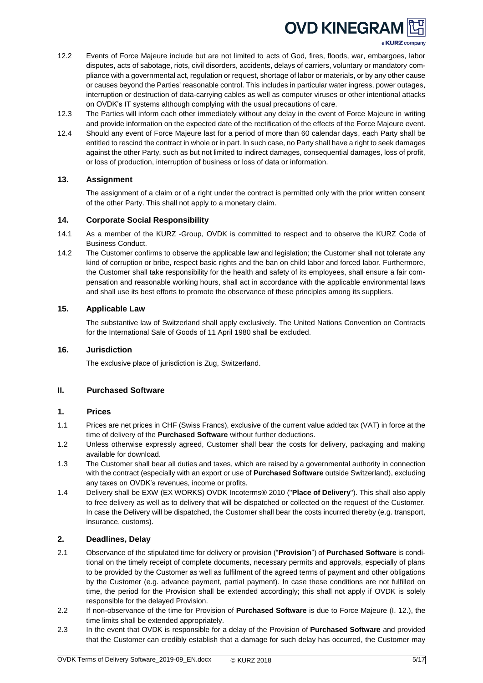

- 12.2 Events of Force Majeure include but are not limited to acts of God, fires, floods, war, embargoes, labor disputes, acts of sabotage, riots, civil disorders, accidents, delays of carriers, voluntary or mandatory compliance with a governmental act, regulation or request, shortage of labor or materials, or by any other cause or causes beyond the Parties' reasonable control. This includes in particular water ingress, power outages, interruption or destruction of data-carrying cables as well as computer viruses or other intentional attacks on OVDK's IT systems although complying with the usual precautions of care.
- 12.3 The Parties will inform each other immediately without any delay in the event of Force Majeure in writing and provide information on the expected date of the rectification of the effects of the Force Majeure event.
- 12.4 Should any event of Force Majeure last for a period of more than 60 calendar days, each Party shall be entitled to rescind the contract in whole or in part. In such case, no Party shall have a right to seek damages against the other Party, such as but not limited to indirect damages, consequential damages, loss of profit, or loss of production, interruption of business or loss of data or information.

## <span id="page-4-0"></span>**13. Assignment**

The assignment of a claim or of a right under the contract is permitted only with the prior written consent of the other Party. This shall not apply to a monetary claim.

## <span id="page-4-1"></span>**14. Corporate Social Responsibility**

- 14.1 As a member of the KURZ -Group, OVDK is committed to respect and to observe the KURZ Code of Business Conduct.
- 14.2 The Customer confirms to observe the applicable law and legislation; the Customer shall not tolerate any kind of corruption or bribe, respect basic rights and the ban on child labor and forced labor. Furthermore, the Customer shall take responsibility for the health and safety of its employees, shall ensure a fair compensation and reasonable working hours, shall act in accordance with the applicable environmental laws and shall use its best efforts to promote the observance of these principles among its suppliers.

# <span id="page-4-2"></span>**15. Applicable Law**

The substantive law of Switzerland shall apply exclusively. The United Nations Convention on Contracts for the International Sale of Goods of 11 April 1980 shall be excluded.

## <span id="page-4-3"></span>**16. Jurisdiction**

The exclusive place of jurisdiction is Zug, Switzerland.

## <span id="page-4-4"></span>**II. Purchased Software**

## <span id="page-4-5"></span>**1. Prices**

- 1.1 Prices are net prices in CHF (Swiss Francs), exclusive of the current value added tax (VAT) in force at the time of delivery of the **Purchased Software** without further deductions.
- 1.2 Unless otherwise expressly agreed, Customer shall bear the costs for delivery, packaging and making available for download.
- 1.3 The Customer shall bear all duties and taxes, which are raised by a governmental authority in connection with the contract (especially with an export or use of **Purchased Software** outside Switzerland), excluding any taxes on OVDK's revenues, income or profits.
- 1.4 Delivery shall be EXW (EX WORKS) OVDK Incoterms® 2010 ("**Place of Delivery**"). This shall also apply to free delivery as well as to delivery that will be dispatched or collected on the request of the Customer. In case the Delivery will be dispatched, the Customer shall bear the costs incurred thereby (e.g. transport, insurance, customs).

## <span id="page-4-6"></span>**2. Deadlines, Delay**

- 2.1 Observance of the stipulated time for delivery or provision ("**Provision**") of **Purchased Software** is conditional on the timely receipt of complete documents, necessary permits and approvals, especially of plans to be provided by the Customer as well as fulfilment of the agreed terms of payment and other obligations by the Customer (e.g. advance payment, partial payment). In case these conditions are not fulfilled on time, the period for the Provision shall be extended accordingly; this shall not apply if OVDK is solely responsible for the delayed Provision.
- 2.2 If non-observance of the time for Provision of **Purchased Software** is due to Force Majeure (I. 12.), the time limits shall be extended appropriately.
- 2.3 In the event that OVDK is responsible for a delay of the Provision of **Purchased Software** and provided that the Customer can credibly establish that a damage for such delay has occurred, the Customer may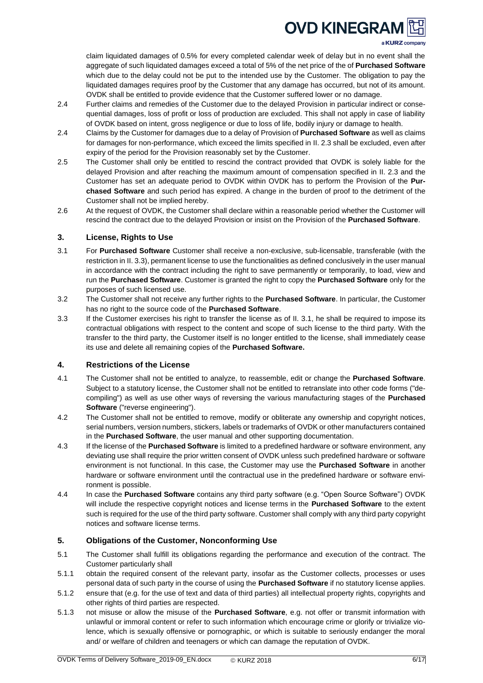a KURZ company

claim liquidated damages of 0.5% for every completed calendar week of delay but in no event shall the aggregate of such liquidated damages exceed a total of 5% of the net price of the of **Purchased Software** which due to the delay could not be put to the intended use by the Customer. The obligation to pay the liquidated damages requires proof by the Customer that any damage has occurred, but not of its amount. OVDK shall be entitled to provide evidence that the Customer suffered lower or no damage.

- 2.4 Further claims and remedies of the Customer due to the delayed Provision in particular indirect or consequential damages, loss of profit or loss of production are excluded. This shall not apply in case of liability of OVDK based on intent, gross negligence or due to loss of life, bodily injury or damage to health.
- 2.4 Claims by the Customer for damages due to a delay of Provision of **Purchased Software** as well as claims for damages for non-performance, which exceed the limits specified in II. 2.3 shall be excluded, even after expiry of the period for the Provision reasonably set by the Customer.
- 2.5 The Customer shall only be entitled to rescind the contract provided that OVDK is solely liable for the delayed Provision and after reaching the maximum amount of compensation specified in II. 2.3 and the Customer has set an adequate period to OVDK within OVDK has to perform the Provision of the **Purchased Software** and such period has expired. A change in the burden of proof to the detriment of the Customer shall not be implied hereby.
- 2.6 At the request of OVDK, the Customer shall declare within a reasonable period whether the Customer will rescind the contract due to the delayed Provision or insist on the Provision of the **Purchased Software**.

## <span id="page-5-0"></span>**3. License, Rights to Use**

- 3.1 For **Purchased Software** Customer shall receive a non-exclusive, sub-licensable, transferable (with the restriction in II. 3.3), permanent license to use the functionalities as defined conclusively in the user manual in accordance with the contract including the right to save permanently or temporarily, to load, view and run the **Purchased Software**. Customer is granted the right to copy the **Purchased Software** only for the purposes of such licensed use.
- 3.2 The Customer shall not receive any further rights to the **Purchased Software**. In particular, the Customer has no right to the source code of the **Purchased Software**.
- 3.3 If the Customer exercises his right to transfer the license as of II. 3.1, he shall be required to impose its contractual obligations with respect to the content and scope of such license to the third party. With the transfer to the third party, the Customer itself is no longer entitled to the license, shall immediately cease its use and delete all remaining copies of the **Purchased Software.**

## <span id="page-5-1"></span>**4. Restrictions of the License**

- 4.1 The Customer shall not be entitled to analyze, to reassemble, edit or change the **Purchased Software**. Subject to a statutory license, the Customer shall not be entitled to retranslate into other code forms ("decompiling") as well as use other ways of reversing the various manufacturing stages of the **Purchased Software** ("reverse engineering").
- 4.2 The Customer shall not be entitled to remove, modify or obliterate any ownership and copyright notices, serial numbers, version numbers, stickers, labels or trademarks of OVDK or other manufacturers contained in the **Purchased Software**, the user manual and other supporting documentation.
- 4.3 If the license of the **Purchased Software** is limited to a predefined hardware or software environment, any deviating use shall require the prior written consent of OVDK unless such predefined hardware or software environment is not functional. In this case, the Customer may use the **Purchased Software** in another hardware or software environment until the contractual use in the predefined hardware or software environment is possible.
- 4.4 In case the **Purchased Software** contains any third party software (e.g. "Open Source Software") OVDK will include the respective copyright notices and license terms in the **Purchased Software** to the extent such is required for the use of the third party software. Customer shall comply with any third party copyright notices and software license terms.

# <span id="page-5-2"></span>**5. Obligations of the Customer, Nonconforming Use**

- 5.1 The Customer shall fulfill its obligations regarding the performance and execution of the contract. The Customer particularly shall
- 5.1.1 obtain the required consent of the relevant party, insofar as the Customer collects, processes or uses personal data of such party in the course of using the **Purchased Software** if no statutory license applies.
- 5.1.2 ensure that (e.g. for the use of text and data of third parties) all intellectual property rights, copyrights and other rights of third parties are respected.
- 5.1.3 not misuse or allow the misuse of the **Purchased Software**, e.g. not offer or transmit information with unlawful or immoral content or refer to such information which encourage crime or glorify or trivialize violence, which is sexually offensive or pornographic, or which is suitable to seriously endanger the moral and/ or welfare of children and teenagers or which can damage the reputation of OVDK.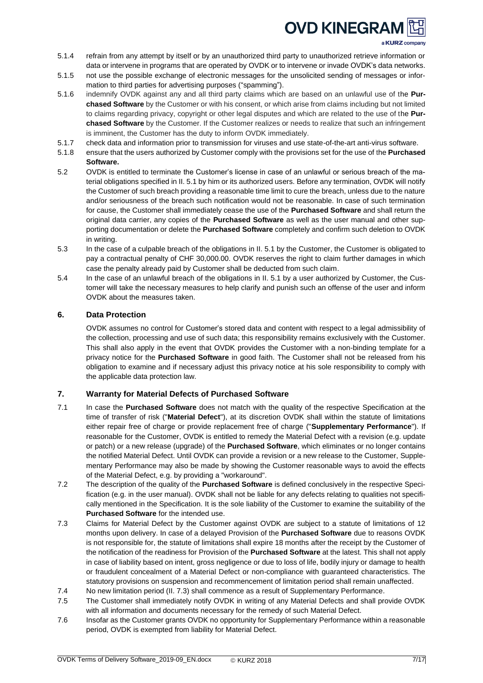a KURZ company

- 5.1.4 refrain from any attempt by itself or by an unauthorized third party to unauthorized retrieve information or data or intervene in programs that are operated by OVDK or to intervene or invade OVDK's data networks.
- 5.1.5 not use the possible exchange of electronic messages for the unsolicited sending of messages or information to third parties for advertising purposes ("spamming").
- 5.1.6 indemnify OVDK against any and all third party claims which are based on an unlawful use of the **Purchased Software** by the Customer or with his consent, or which arise from claims including but not limited to claims regarding privacy, copyright or other legal disputes and which are related to the use of the **Purchased Software** by the Customer. If the Customer realizes or needs to realize that such an infringement is imminent, the Customer has the duty to inform OVDK immediately.
- 5.1.7 check data and information prior to transmission for viruses and use state-of-the-art anti-virus software.
- 5.1.8 ensure that the users authorized by Customer comply with the provisions set for the use of the **Purchased Software.**
- 5.2 OVDK is entitled to terminate the Customer's license in case of an unlawful or serious breach of the material obligations specified in II. 5.1 by him or its authorized users. Before any termination, OVDK will notify the Customer of such breach providing a reasonable time limit to cure the breach, unless due to the nature and/or seriousness of the breach such notification would not be reasonable. In case of such termination for cause, the Customer shall immediately cease the use of the **Purchased Software** and shall return the original data carrier, any copies of the **Purchased Software** as well as the user manual and other supporting documentation or delete the **Purchased Software** completely and confirm such deletion to OVDK in writing.
- 5.3 In the case of a culpable breach of the obligations in II. 5.1 by the Customer, the Customer is obligated to pay a contractual penalty of CHF 30,000.00. OVDK reserves the right to claim further damages in which case the penalty already paid by Customer shall be deducted from such claim.
- 5.4 In the case of an unlawful breach of the obligations in II. 5.1 by a user authorized by Customer, the Customer will take the necessary measures to help clarify and punish such an offense of the user and inform OVDK about the measures taken.

# <span id="page-6-0"></span>**6. Data Protection**

OVDK assumes no control for Customer's stored data and content with respect to a legal admissibility of the collection, processing and use of such data; this responsibility remains exclusively with the Customer. This shall also apply in the event that OVDK provides the Customer with a non-binding template for a privacy notice for the **Purchased Software** in good faith. The Customer shall not be released from his obligation to examine and if necessary adjust this privacy notice at his sole responsibility to comply with the applicable data protection law.

# <span id="page-6-1"></span>**7. Warranty for Material Defects of Purchased Software**

- 7.1 In case the **Purchased Software** does not match with the quality of the respective Specification at the time of transfer of risk ("**Material Defect**"), at its discretion OVDK shall within the statute of limitations either repair free of charge or provide replacement free of charge ("**Supplementary Performance**"). If reasonable for the Customer, OVDK is entitled to remedy the Material Defect with a revision (e.g. update or patch) or a new release (upgrade) of the **Purchased Software**, which eliminates or no longer contains the notified Material Defect. Until OVDK can provide a revision or a new release to the Customer, Supplementary Performance may also be made by showing the Customer reasonable ways to avoid the effects of the Material Defect, e.g. by providing a "workaround".
- 7.2 The description of the quality of the **Purchased Software** is defined conclusively in the respective Specification (e.g. in the user manual). OVDK shall not be liable for any defects relating to qualities not specifically mentioned in the Specification. It is the sole liability of the Customer to examine the suitability of the **Purchased Software** for the intended use.
- 7.3 Claims for Material Defect by the Customer against OVDK are subject to a statute of limitations of 12 months upon delivery. In case of a delayed Provision of the **Purchased Software** due to reasons OVDK is not responsible for, the statute of limitations shall expire 18 months after the receipt by the Customer of the notification of the readiness for Provision of the **Purchased Software** at the latest. This shall not apply in case of liability based on intent, gross negligence or due to loss of life, bodily injury or damage to health or fraudulent concealment of a Material Defect or non-compliance with guaranteed characteristics. The statutory provisions on suspension and recommencement of limitation period shall remain unaffected.
- 7.4 No new limitation period (II. 7.3) shall commence as a result of Supplementary Performance.
- 7.5 The Customer shall immediately notify OVDK in writing of any Material Defects and shall provide OVDK with all information and documents necessary for the remedy of such Material Defect.
- 7.6 Insofar as the Customer grants OVDK no opportunity for Supplementary Performance within a reasonable period, OVDK is exempted from liability for Material Defect.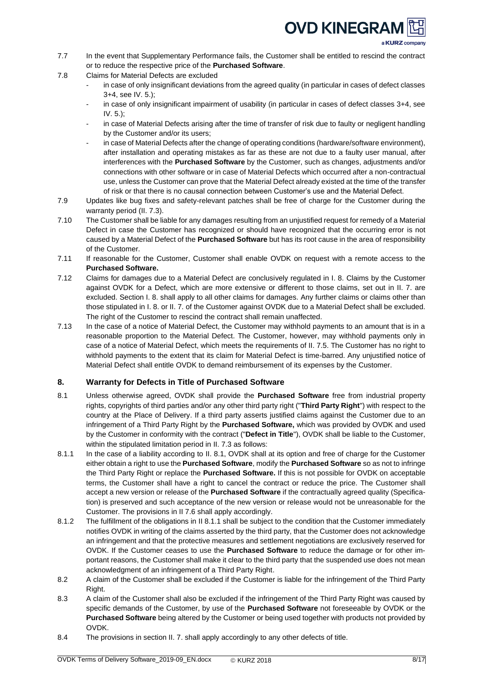a KURZ company

- 7.7 In the event that Supplementary Performance fails, the Customer shall be entitled to rescind the contract or to reduce the respective price of the **Purchased Software**.
- 7.8 Claims for Material Defects are excluded
	- in case of only insignificant deviations from the agreed quality (in particular in cases of defect classes 3+4, see IV. 5.);
	- in case of only insignificant impairment of usability (in particular in cases of defect classes 3+4, see IV. 5.);
	- in case of Material Defects arising after the time of transfer of risk due to faulty or negligent handling by the Customer and/or its users;
	- in case of Material Defects after the change of operating conditions (hardware/software environment), after installation and operating mistakes as far as these are not due to a faulty user manual, after interferences with the **Purchased Software** by the Customer, such as changes, adjustments and/or connections with other software or in case of Material Defects which occurred after a non-contractual use, unless the Customer can prove that the Material Defect already existed at the time of the transfer of risk or that there is no causal connection between Customer's use and the Material Defect.
- 7.9 Updates like bug fixes and safety-relevant patches shall be free of charge for the Customer during the warranty period (II, 7.3).
- 7.10 The Customer shall be liable for any damages resulting from an unjustified request for remedy of a Material Defect in case the Customer has recognized or should have recognized that the occurring error is not caused by a Material Defect of the **Purchased Software** but has its root cause in the area of responsibility of the Customer.
- 7.11 If reasonable for the Customer, Customer shall enable OVDK on request with a remote access to the **Purchased Software.**
- 7.12 Claims for damages due to a Material Defect are conclusively regulated in I. 8. Claims by the Customer against OVDK for a Defect, which are more extensive or different to those claims, set out in II. 7. are excluded. Section I. 8. shall apply to all other claims for damages. Any further claims or claims other than those stipulated in I. 8. or II. 7. of the Customer against OVDK due to a Material Defect shall be excluded. The right of the Customer to rescind the contract shall remain unaffected.
- 7.13 In the case of a notice of Material Defect, the Customer may withhold payments to an amount that is in a reasonable proportion to the Material Defect. The Customer, however, may withhold payments only in case of a notice of Material Defect, which meets the requirements of II. 7.5. The Customer has no right to withhold payments to the extent that its claim for Material Defect is time-barred. Any unjustified notice of Material Defect shall entitle OVDK to demand reimbursement of its expenses by the Customer.

# <span id="page-7-0"></span>**8. Warranty for Defects in Title of Purchased Software**

- 8.1 Unless otherwise agreed, OVDK shall provide the **Purchased Software** free from industrial property rights, copyrights of third parties and/or any other third party right ("**Third Party Right**") with respect to the country at the Place of Delivery. If a third party asserts justified claims against the Customer due to an infringement of a Third Party Right by the **Purchased Software,** which was provided by OVDK and used by the Customer in conformity with the contract ("**Defect in Title**"), OVDK shall be liable to the Customer, within the stipulated limitation period in II. 7.3 as follows:
- 8.1.1 In the case of a liability according to II. 8.1, OVDK shall at its option and free of charge for the Customer either obtain a right to use the **Purchased Software**, modify the **Purchased Software** so as not to infringe the Third Party Right or replace the **Purchased Software.** If this is not possible for OVDK on acceptable terms, the Customer shall have a right to cancel the contract or reduce the price. The Customer shall accept a new version or release of the **Purchased Software** if the contractually agreed quality (Specification) is preserved and such acceptance of the new version or release would not be unreasonable for the Customer. The provisions in II 7.6 shall apply accordingly.
- 8.1.2 The fulfillment of the obligations in II 8.1.1 shall be subject to the condition that the Customer immediately notifies OVDK in writing of the claims asserted by the third party, that the Customer does not acknowledge an infringement and that the protective measures and settlement negotiations are exclusively reserved for OVDK. If the Customer ceases to use the **Purchased Software** to reduce the damage or for other important reasons, the Customer shall make it clear to the third party that the suspended use does not mean acknowledgment of an infringement of a Third Party Right.
- 8.2 A claim of the Customer shall be excluded if the Customer is liable for the infringement of the Third Party Right.
- 8.3 A claim of the Customer shall also be excluded if the infringement of the Third Party Right was caused by specific demands of the Customer, by use of the **Purchased Software** not foreseeable by OVDK or the **Purchased Software** being altered by the Customer or being used together with products not provided by **OVDK**
- 8.4 The provisions in section II. 7. shall apply accordingly to any other defects of title.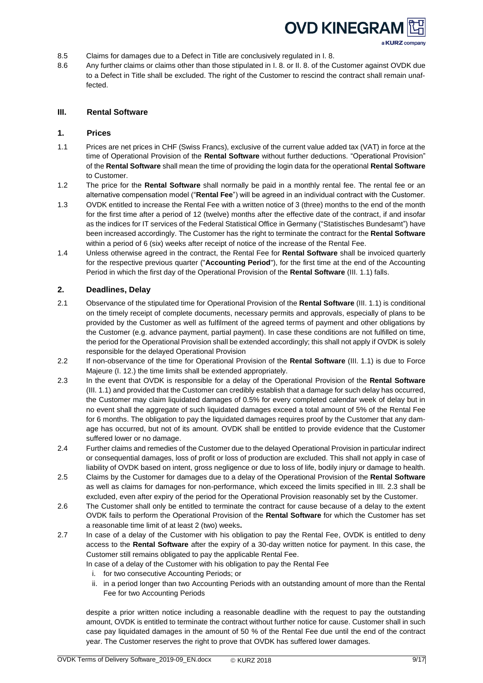

- a KURZ company
- 8.5 Claims for damages due to a Defect in Title are conclusively regulated in I. 8.
- 8.6 Any further claims or claims other than those stipulated in I. 8. or II. 8. of the Customer against OVDK due to a Defect in Title shall be excluded. The right of the Customer to rescind the contract shall remain unaffected.

## <span id="page-8-0"></span>**III. Rental Software**

#### <span id="page-8-1"></span>**1. Prices**

- 1.1 Prices are net prices in CHF (Swiss Francs), exclusive of the current value added tax (VAT) in force at the time of Operational Provision of the **Rental Software** without further deductions. "Operational Provision" of the **Rental Software** shall mean the time of providing the login data for the operational **Rental Software** to Customer.
- 1.2 The price for the **Rental Software** shall normally be paid in a monthly rental fee. The rental fee or an alternative compensation model ("**Rental Fee**") will be agreed in an individual contract with the Customer.
- 1.3 OVDK entitled to increase the Rental Fee with a written notice of 3 (three) months to the end of the month for the first time after a period of 12 (twelve) months after the effective date of the contract, if and insofar as the indices for IT services of the Federal Statistical Office in Germany ("Statistisches Bundesamt") have been increased accordingly. The Customer has the right to terminate the contract for the **Rental Software** within a period of 6 (six) weeks after receipt of notice of the increase of the Rental Fee.
- 1.4 Unless otherwise agreed in the contract, the Rental Fee for **Rental Software** shall be invoiced quarterly for the respective previous quarter ("**Accounting Period**"), for the first time at the end of the Accounting Period in which the first day of the Operational Provision of the **Rental Software** (III. 1.1) falls.

### <span id="page-8-2"></span>**2. Deadlines, Delay**

- 2.1 Observance of the stipulated time for Operational Provision of the **Rental Software** (III. 1.1) is conditional on the timely receipt of complete documents, necessary permits and approvals, especially of plans to be provided by the Customer as well as fulfilment of the agreed terms of payment and other obligations by the Customer (e.g. advance payment, partial payment). In case these conditions are not fulfilled on time, the period for the Operational Provision shall be extended accordingly; this shall not apply if OVDK is solely responsible for the delayed Operational Provision
- 2.2 If non-observance of the time for Operational Provision of the **Rental Software** (III. 1.1) is due to Force Majeure (I. 12.) the time limits shall be extended appropriately.
- 2.3 In the event that OVDK is responsible for a delay of the Operational Provision of the **Rental Software** (III. 1.1) and provided that the Customer can credibly establish that a damage for such delay has occurred, the Customer may claim liquidated damages of 0.5% for every completed calendar week of delay but in no event shall the aggregate of such liquidated damages exceed a total amount of 5% of the Rental Fee for 6 months. The obligation to pay the liquidated damages requires proof by the Customer that any damage has occurred, but not of its amount. OVDK shall be entitled to provide evidence that the Customer suffered lower or no damage.
- 2.4 Further claims and remedies of the Customer due to the delayed Operational Provision in particular indirect or consequential damages, loss of profit or loss of production are excluded. This shall not apply in case of liability of OVDK based on intent, gross negligence or due to loss of life, bodily injury or damage to health.
- 2.5 Claims by the Customer for damages due to a delay of the Operational Provision of the **Rental Software** as well as claims for damages for non-performance, which exceed the limits specified in III. 2.3 shall be excluded, even after expiry of the period for the Operational Provision reasonably set by the Customer.
- 2.6 The Customer shall only be entitled to terminate the contract for cause because of a delay to the extent OVDK fails to perform the Operational Provision of the **Rental Software** for which the Customer has set a reasonable time limit of at least 2 (two) weeks**.**
- 2.7 In case of a delay of the Customer with his obligation to pay the Rental Fee, OVDK is entitled to deny access to the **Rental Software** after the expiry of a 30-day written notice for payment. In this case, the Customer still remains obligated to pay the applicable Rental Fee.

In case of a delay of the Customer with his obligation to pay the Rental Fee

- i. for two consecutive Accounting Periods; or
- ii. in a period longer than two Accounting Periods with an outstanding amount of more than the Rental Fee for two Accounting Periods

despite a prior written notice including a reasonable deadline with the request to pay the outstanding amount, OVDK is entitled to terminate the contract without further notice for cause. Customer shall in such case pay liquidated damages in the amount of 50 % of the Rental Fee due until the end of the contract year. The Customer reserves the right to prove that OVDK has suffered lower damages.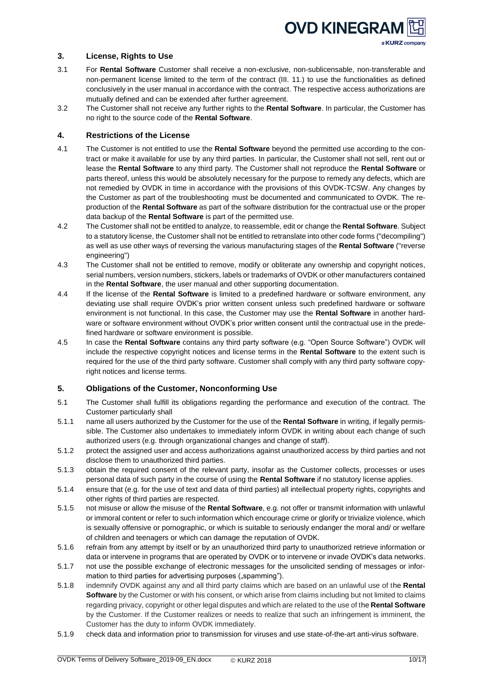

## <span id="page-9-0"></span>**3. License, Rights to Use**

- 3.1 For **Rental Software** Customer shall receive a non-exclusive, non-sublicensable, non-transferable and non-permanent license limited to the term of the contract (III. 11.) to use the functionalities as defined conclusively in the user manual in accordance with the contract. The respective access authorizations are mutually defined and can be extended after further agreement.
- 3.2 The Customer shall not receive any further rights to the **Rental Software**. In particular, the Customer has no right to the source code of the **Rental Software**.

## <span id="page-9-1"></span>**4. Restrictions of the License**

- 4.1 The Customer is not entitled to use the **Rental Software** beyond the permitted use according to the contract or make it available for use by any third parties. In particular, the Customer shall not sell, rent out or lease the **Rental Software** to any third party. The Customer shall not reproduce the **Rental Software** or parts thereof, unless this would be absolutely necessary for the purpose to remedy any defects, which are not remedied by OVDK in time in accordance with the provisions of this OVDK-TCSW. Any changes by the Customer as part of the troubleshooting must be documented and communicated to OVDK. The reproduction of the **Rental Software** as part of the software distribution for the contractual use or the proper data backup of the **Rental Software** is part of the permitted use.
- 4.2 The Customer shall not be entitled to analyze, to reassemble, edit or change the **Rental Software**. Subject to a statutory license, the Customer shall not be entitled to retranslate into other code forms ("decompiling") as well as use other ways of reversing the various manufacturing stages of the **Rental Software** ("reverse engineering")
- 4.3 The Customer shall not be entitled to remove, modify or obliterate any ownership and copyright notices, serial numbers, version numbers, stickers, labels or trademarks of OVDK or other manufacturers contained in the **Rental Software**, the user manual and other supporting documentation.
- 4.4 If the license of the **Rental Software** is limited to a predefined hardware or software environment, any deviating use shall require OVDK's prior written consent unless such predefined hardware or software environment is not functional. In this case, the Customer may use the **Rental Software** in another hardware or software environment without OVDK's prior written consent until the contractual use in the predefined hardware or software environment is possible.
- 4.5 In case the **Rental Software** contains any third party software (e.g. "Open Source Software") OVDK will include the respective copyright notices and license terms in the **Rental Software** to the extent such is required for the use of the third party software. Customer shall comply with any third party software copyright notices and license terms.

## <span id="page-9-2"></span>**5. Obligations of the Customer, Nonconforming Use**

- 5.1 The Customer shall fulfill its obligations regarding the performance and execution of the contract. The Customer particularly shall
- 5.1.1 name all users authorized by the Customer for the use of the **Rental Software** in writing, if legally permissible. The Customer also undertakes to immediately inform OVDK in writing about each change of such authorized users (e.g. through organizational changes and change of staff).
- 5.1.2 protect the assigned user and access authorizations against unauthorized access by third parties and not disclose them to unauthorized third parties.
- 5.1.3 obtain the required consent of the relevant party, insofar as the Customer collects, processes or uses personal data of such party in the course of using the **Rental Software** if no statutory license applies.
- 5.1.4 ensure that (e.g. for the use of text and data of third parties) all intellectual property rights, copyrights and other rights of third parties are respected.
- 5.1.5 not misuse or allow the misuse of the **Rental Software**, e.g. not offer or transmit information with unlawful or immoral content or refer to such information which encourage crime or glorify or trivialize violence, which is sexually offensive or pornographic, or which is suitable to seriously endanger the moral and/ or welfare of children and teenagers or which can damage the reputation of OVDK.
- 5.1.6 refrain from any attempt by itself or by an unauthorized third party to unauthorized retrieve information or data or intervene in programs that are operated by OVDK or to intervene or invade OVDK's data networks.
- 5.1.7 not use the possible exchange of electronic messages for the unsolicited sending of messages or information to third parties for advertising purposes ("spamming").
- 5.1.8 indemnify OVDK against any and all third party claims which are based on an unlawful use of the **Rental Software** by the Customer or with his consent, or which arise from claims including but not limited to claims regarding privacy, copyright or other legal disputes and which are related to the use of the **Rental Software** by the Customer. If the Customer realizes or needs to realize that such an infringement is imminent, the Customer has the duty to inform OVDK immediately.
- 5.1.9 check data and information prior to transmission for viruses and use state-of-the-art anti-virus software.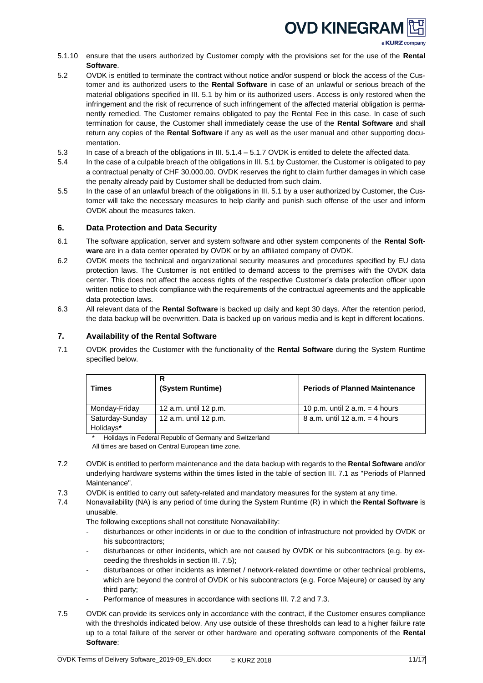a KURZ company

- 5.1.10 ensure that the users authorized by Customer comply with the provisions set for the use of the **Rental Software**.
- 5.2 OVDK is entitled to terminate the contract without notice and/or suspend or block the access of the Customer and its authorized users to the **Rental Software** in case of an unlawful or serious breach of the material obligations specified in III. 5.1 by him or its authorized users. Access is only restored when the infringement and the risk of recurrence of such infringement of the affected material obligation is permanently remedied. The Customer remains obligated to pay the Rental Fee in this case. In case of such termination for cause, the Customer shall immediately cease the use of the **Rental Software** and shall return any copies of the **Rental Software** if any as well as the user manual and other supporting documentation.
- 5.3 In case of a breach of the obligations in III. 5.1.4 5.1.7 OVDK is entitled to delete the affected data.
- 5.4 In the case of a culpable breach of the obligations in III. 5.1 by Customer, the Customer is obligated to pay a contractual penalty of CHF 30,000.00. OVDK reserves the right to claim further damages in which case the penalty already paid by Customer shall be deducted from such claim.
- 5.5 In the case of an unlawful breach of the obligations in III. 5.1 by a user authorized by Customer, the Customer will take the necessary measures to help clarify and punish such offense of the user and inform OVDK about the measures taken.

## <span id="page-10-0"></span>**6. Data Protection and Data Security**

- 6.1 The software application, server and system software and other system components of the **Rental Software** are in a data center operated by OVDK or by an affiliated company of OVDK.
- 6.2 OVDK meets the technical and organizational security measures and procedures specified by EU data protection laws. The Customer is not entitled to demand access to the premises with the OVDK data center. This does not affect the access rights of the respective Customer's data protection officer upon written notice to check compliance with the requirements of the contractual agreements and the applicable data protection laws.
- 6.3 All relevant data of the **Rental Software** is backed up daily and kept 30 days. After the retention period, the data backup will be overwritten. Data is backed up on various media and is kept in different locations.

## <span id="page-10-1"></span>**7. Availability of the Rental Software**

7.1 OVDK provides the Customer with the functionality of the **Rental Software** during the System Runtime specified below.

| Times                        | R<br>(System Runtime) | <b>Periods of Planned Maintenance</b> |
|------------------------------|-----------------------|---------------------------------------|
| Monday-Friday                | 12 a.m. until 12 p.m. | 10 p.m. until 2 a.m. $=$ 4 hours      |
| Saturday-Sunday<br>Holidays* | 12 a.m. until 12 p.m. | 8 a.m. until 12 a.m. $=$ 4 hours      |

Holidays in Federal Republic of Germany and Switzerland

All times are based on Central European time zone.

- 7.2 OVDK is entitled to perform maintenance and the data backup with regards to the **Rental Software** and/or underlying hardware systems within the times listed in the table of section III. 7.1 as "Periods of Planned Maintenance".
- 7.3 OVDK is entitled to carry out safety-related and mandatory measures for the system at any time.
- 7.4 Nonavailability (NA) is any period of time during the System Runtime (R) in which the **Rental Software** is unusable.

The following exceptions shall not constitute Nonavailability:

- disturbances or other incidents in or due to the condition of infrastructure not provided by OVDK or his subcontractors;
- disturbances or other incidents, which are not caused by OVDK or his subcontractors (e.g. by exceeding the thresholds in section III. 7.5);
- disturbances or other incidents as internet / network-related downtime or other technical problems, which are beyond the control of OVDK or his subcontractors (e.g. Force Majeure) or caused by any third party;
- Performance of measures in accordance with sections III. 7.2 and 7.3.
- 7.5 OVDK can provide its services only in accordance with the contract, if the Customer ensures compliance with the thresholds indicated below. Any use outside of these thresholds can lead to a higher failure rate up to a total failure of the server or other hardware and operating software components of the **Rental Software**: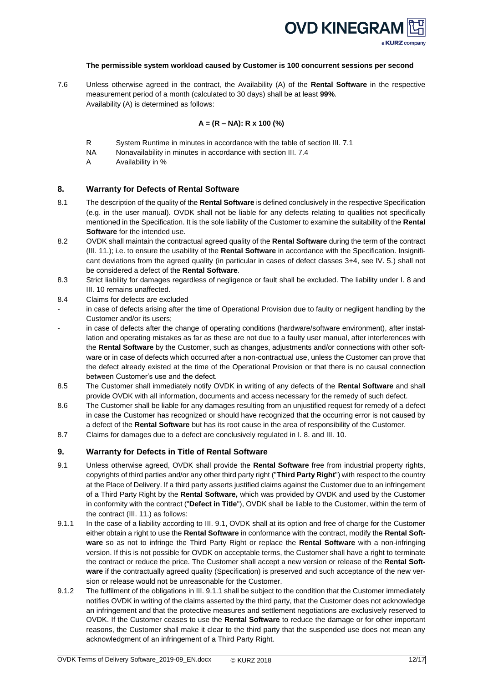

#### **The permissible system workload caused by Customer is 100 concurrent sessions per second**

7.6 Unless otherwise agreed in the contract, the Availability (A) of the **Rental Software** in the respective measurement period of a month (calculated to 30 days) shall be at least **99%**. Availability (A) is determined as follows:

## **A = (R – NA): R x 100 (%)**

- R System Runtime in minutes in accordance with the table of section III. 7.1
- NA Nonavailability in minutes in accordance with section III. 7.4
- A Availability in %

### <span id="page-11-0"></span>**8. Warranty for Defects of Rental Software**

- 8.1 The description of the quality of the **Rental Software** is defined conclusively in the respective Specification (e.g. in the user manual). OVDK shall not be liable for any defects relating to qualities not specifically mentioned in the Specification. It is the sole liability of the Customer to examine the suitability of the **Rental Software** for the intended use.
- 8.2 OVDK shall maintain the contractual agreed quality of the **Rental Software** during the term of the contract (III. 11.); i.e. to ensure the usability of the **Rental Software** in accordance with the Specification. Insignificant deviations from the agreed quality (in particular in cases of defect classes 3+4, see IV. 5.) shall not be considered a defect of the **Rental Software**.
- 8.3 Strict liability for damages regardless of negligence or fault shall be excluded. The liability under I. 8 and III. 10 remains unaffected.
- 8.4 Claims for defects are excluded
- in case of defects arising after the time of Operational Provision due to faulty or negligent handling by the Customer and/or its users;
- in case of defects after the change of operating conditions (hardware/software environment), after installation and operating mistakes as far as these are not due to a faulty user manual, after interferences with the **Rental Software** by the Customer, such as changes, adjustments and/or connections with other software or in case of defects which occurred after a non-contractual use, unless the Customer can prove that the defect already existed at the time of the Operational Provision or that there is no causal connection between Customer's use and the defect.
- 8.5 The Customer shall immediately notify OVDK in writing of any defects of the **Rental Software** and shall provide OVDK with all information, documents and access necessary for the remedy of such defect.
- 8.6 The Customer shall be liable for any damages resulting from an unjustified request for remedy of a defect in case the Customer has recognized or should have recognized that the occurring error is not caused by a defect of the **Rental Software** but has its root cause in the area of responsibility of the Customer.
- 8.7 Claims for damages due to a defect are conclusively regulated in I. 8. and III. 10.

### <span id="page-11-1"></span>**9. Warranty for Defects in Title of Rental Software**

- 9.1 Unless otherwise agreed, OVDK shall provide the **Rental Software** free from industrial property rights, copyrights of third parties and/or any other third party right ("**Third Party Right**") with respect to the country at the Place of Delivery. If a third party asserts justified claims against the Customer due to an infringement of a Third Party Right by the **Rental Software,** which was provided by OVDK and used by the Customer in conformity with the contract ("**Defect in Title**"), OVDK shall be liable to the Customer, within the term of the contract (III. 11.) as follows:
- 9.1.1 In the case of a liability according to III. 9.1, OVDK shall at its option and free of charge for the Customer either obtain a right to use the **Rental Software** in conformance with the contract, modify the **Rental Software** so as not to infringe the Third Party Right or replace the **Rental Software** with a non-infringing version. If this is not possible for OVDK on acceptable terms, the Customer shall have a right to terminate the contract or reduce the price. The Customer shall accept a new version or release of the **Rental Software** if the contractually agreed quality (Specification) is preserved and such acceptance of the new version or release would not be unreasonable for the Customer.
- 9.1.2 The fulfilment of the obligations in III. 9.1.1 shall be subject to the condition that the Customer immediately notifies OVDK in writing of the claims asserted by the third party, that the Customer does not acknowledge an infringement and that the protective measures and settlement negotiations are exclusively reserved to OVDK. If the Customer ceases to use the **Rental Software** to reduce the damage or for other important reasons, the Customer shall make it clear to the third party that the suspended use does not mean any acknowledgment of an infringement of a Third Party Right.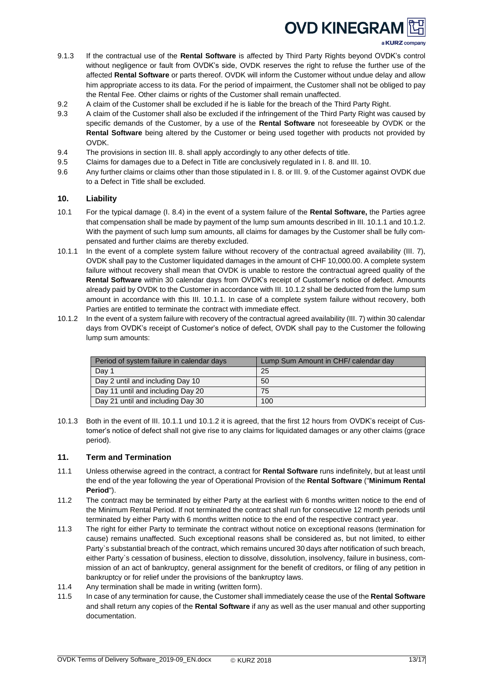

- 9.1.3 If the contractual use of the **Rental Software** is affected by Third Party Rights beyond OVDK's control without negligence or fault from OVDK's side, OVDK reserves the right to refuse the further use of the affected **Rental Software** or parts thereof. OVDK will inform the Customer without undue delay and allow him appropriate access to its data. For the period of impairment, the Customer shall not be obliged to pay the Rental Fee. Other claims or rights of the Customer shall remain unaffected.
- 9.2 A claim of the Customer shall be excluded if he is liable for the breach of the Third Party Right.
- 9.3 A claim of the Customer shall also be excluded if the infringement of the Third Party Right was caused by specific demands of the Customer, by a use of the **Rental Software** not foreseeable by OVDK or the **Rental Software** being altered by the Customer or being used together with products not provided by OVDK.
- 9.4 The provisions in section III. 8. shall apply accordingly to any other defects of title.
- 9.5 Claims for damages due to a Defect in Title are conclusively regulated in I. 8. and III. 10.
- 9.6 Any further claims or claims other than those stipulated in I. 8. or III. 9. of the Customer against OVDK due to a Defect in Title shall be excluded.

# <span id="page-12-0"></span>**10. Liability**

- 10.1 For the typical damage (I. 8.4) in the event of a system failure of the **Rental Software,** the Parties agree that compensation shall be made by payment of the lump sum amounts described in III. 10.1.1 and 10.1.2. With the payment of such lump sum amounts, all claims for damages by the Customer shall be fully compensated and further claims are thereby excluded.
- 10.1.1 In the event of a complete system failure without recovery of the contractual agreed availability (III. 7), OVDK shall pay to the Customer liquidated damages in the amount of CHF 10,000.00. A complete system failure without recovery shall mean that OVDK is unable to restore the contractual agreed quality of the **Rental Software** within 30 calendar days from OVDK's receipt of Customer's notice of defect. Amounts already paid by OVDK to the Customer in accordance with III. 10.1.2 shall be deducted from the lump sum amount in accordance with this III. 10.1.1. In case of a complete system failure without recovery, both Parties are entitled to terminate the contract with immediate effect.
- 10.1.2 In the event of a system failure with recovery of the contractual agreed availability (III. 7) within 30 calendar days from OVDK's receipt of Customer's notice of defect, OVDK shall pay to the Customer the following lump sum amounts:

| Period of system failure in calendar days | Lump Sum Amount in CHF/ calendar day |  |
|-------------------------------------------|--------------------------------------|--|
| Day 1                                     | 25                                   |  |
| Day 2 until and including Day 10          | 50                                   |  |
| Day 11 until and including Day 20         | 75                                   |  |
| Day 21 until and including Day 30         | 100                                  |  |

10.1.3 Both in the event of III. 10.1.1 und 10.1.2 it is agreed, that the first 12 hours from OVDK's receipt of Customer's notice of defect shall not give rise to any claims for liquidated damages or any other claims (grace period).

## <span id="page-12-1"></span>**11. Term and Termination**

- 11.1 Unless otherwise agreed in the contract, a contract for **Rental Software** runs indefinitely, but at least until the end of the year following the year of Operational Provision of the **Rental Software** ("**Minimum Rental Period**").
- 11.2 The contract may be terminated by either Party at the earliest with 6 months written notice to the end of the Minimum Rental Period. If not terminated the contract shall run for consecutive 12 month periods until terminated by either Party with 6 months written notice to the end of the respective contract year.
- 11.3 The right for either Party to terminate the contract without notice on exceptional reasons (termination for cause) remains unaffected. Such exceptional reasons shall be considered as, but not limited, to either Party`s substantial breach of the contract, which remains uncured 30 days after notification of such breach, either Party`s cessation of business, election to dissolve, dissolution, insolvency, failure in business, commission of an act of bankruptcy, general assignment for the benefit of creditors, or filing of any petition in bankruptcy or for relief under the provisions of the bankruptcy laws.
- 11.4 Any termination shall be made in writing (written form).
- 11.5 In case of any termination for cause, the Customer shall immediately cease the use of the **Rental Software** and shall return any copies of the **Rental Software** if any as well as the user manual and other supporting documentation.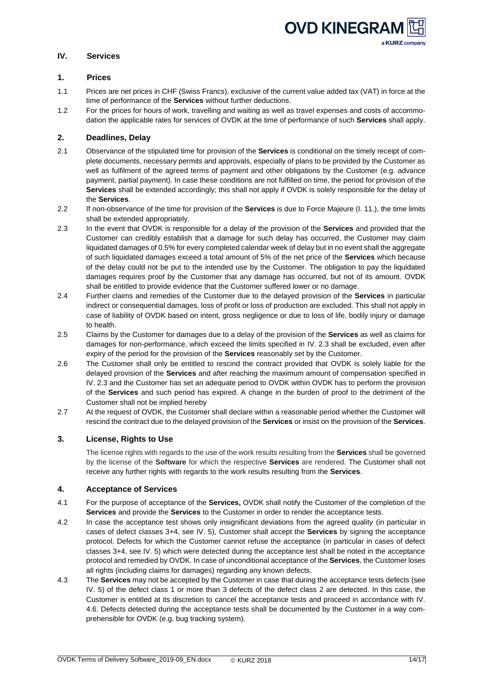

## <span id="page-13-0"></span>**IV. Services**

## <span id="page-13-1"></span>**1. Prices**

- 1.1 Prices are net prices in CHF (Swiss Francs), exclusive of the current value added tax (VAT) in force at the time of performance of the **Services** without further deductions.
- 1.2 For the prices for hours of work, travelling and waiting as well as travel expenses and costs of accommodation the applicable rates for services of OVDK at the time of performance of such **Services** shall apply.

# <span id="page-13-2"></span>**2. Deadlines, Delay**

- 2.1 Observance of the stipulated time for provision of the **Services** is conditional on the timely receipt of complete documents, necessary permits and approvals, especially of plans to be provided by the Customer as well as fulfilment of the agreed terms of payment and other obligations by the Customer (e.g. advance payment, partial payment). In case these conditions are not fulfilled on time, the period for provision of the **Services** shall be extended accordingly; this shall not apply if OVDK is solely responsible for the delay of the **Services**.
- 2.2 If non-observance of the time for provision of the **Services** is due to Force Majeure (I. 11.), the time limits shall be extended appropriately.
- 2.3 In the event that OVDK is responsible for a delay of the provision of the **Services** and provided that the Customer can credibly establish that a damage for such delay has occurred, the Customer may claim liquidated damages of 0.5% for every completed calendar week of delay but in no event shall the aggregate of such liquidated damages exceed a total amount of 5% of the net price of the **Services** which because of the delay could not be put to the intended use by the Customer. The obligation to pay the liquidated damages requires proof by the Customer that any damage has occurred, but not of its amount. OVDK shall be entitled to provide evidence that the Customer suffered lower or no damage.
- 2.4 Further claims and remedies of the Customer due to the delayed provision of the **Services** in particular indirect or consequential damages, loss of profit or loss of production are excluded. This shall not apply in case of liability of OVDK based on intent, gross negligence or due to loss of life, bodily injury or damage to health.
- 2.5 Claims by the Customer for damages due to a delay of the provision of the **Services** as well as claims for damages for non-performance, which exceed the limits specified in IV. 2.3 shall be excluded, even after expiry of the period for the provision of the **Services** reasonably set by the Customer.
- 2.6 The Customer shall only be entitled to rescind the contract provided that OVDK is solely liable for the delayed provision of the **Services** and after reaching the maximum amount of compensation specified in IV. 2.3 and the Customer has set an adequate period to OVDK within OVDK has to perform the provision of the **Services** and such period has expired. A change in the burden of proof to the detriment of the Customer shall not be implied hereby
- 2.7 At the request of OVDK, the Customer shall declare within a reasonable period whether the Customer will rescind the contract due to the delayed provision of the **Services** or insist on the provision of the **Services**.

# <span id="page-13-3"></span>**3. License, Rights to Use**

The license rights with regards to the use of the work results resulting from the **Services** shall be governed by the license of the **Software** for which the respective **Services** are rendered. The Customer shall not receive any further rights with regards to the work results resulting from the **Services**.

## <span id="page-13-4"></span>**4. Acceptance of Services**

- 4.1 For the purpose of acceptance of the **Services,** OVDK shall notify the Customer of the completion of the **Services** and provide the **Services** to the Customer in order to render the acceptance tests.
- 4.2 In case the acceptance test shows only insignificant deviations from the agreed quality (in particular in cases of defect classes 3+4, see IV. 5), Customer shall accept the **Services** by signing the acceptance protocol. Defects for which the Customer cannot refuse the acceptance (in particular in cases of defect classes 3+4, see IV. 5) which were detected during the acceptance test shall be noted in the acceptance protocol and remedied by OVDK. In case of unconditional acceptance of the **Services**, the Customer loses all rights (including claims for damages) regarding any known defects.
- 4.3 The **Services** may not be accepted by the Customer in case that during the acceptance tests defects (see IV. 5) of the defect class 1 or more than 3 defects of the defect class 2 are detected. In this case, the Customer is entitled at its discretion to cancel the acceptance tests and proceed in accordance with IV. 4.6. Defects detected during the acceptance tests shall be documented by the Customer in a way comprehensible for OVDK (e.g. bug tracking system).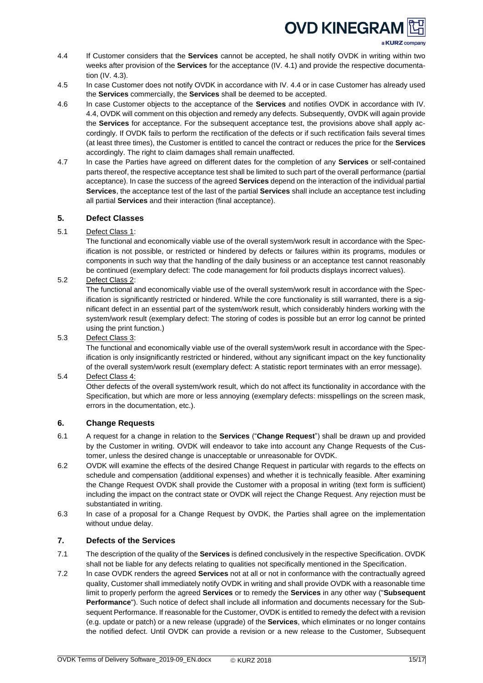a KURZ company

- 4.4 If Customer considers that the **Services** cannot be accepted, he shall notify OVDK in writing within two weeks after provision of the **Services** for the acceptance (IV. 4.1) and provide the respective documentation (IV. 4.3).
- 4.5 In case Customer does not notify OVDK in accordance with IV. 4.4 or in case Customer has already used the **Services** commercially, the **Services** shall be deemed to be accepted.
- 4.6 In case Customer objects to the acceptance of the **Services** and notifies OVDK in accordance with IV. 4.4, OVDK will comment on this objection and remedy any defects. Subsequently, OVDK will again provide the **Services** for acceptance. For the subsequent acceptance test, the provisions above shall apply accordingly. If OVDK fails to perform the rectification of the defects or if such rectification fails several times (at least three times), the Customer is entitled to cancel the contract or reduces the price for the **Services** accordingly. The right to claim damages shall remain unaffected.
- 4.7 In case the Parties have agreed on different dates for the completion of any **Services** or self-contained parts thereof, the respective acceptance test shall be limited to such part of the overall performance (partial acceptance). In case the success of the agreed **Services** depend on the interaction of the individual partial **Services**, the acceptance test of the last of the partial **Services** shall include an acceptance test including all partial **Services** and their interaction (final acceptance).

# <span id="page-14-0"></span>**5. Defect Classes**

5.1 Defect Class 1:

The functional and economically viable use of the overall system/work result in accordance with the Specification is not possible, or restricted or hindered by defects or failures within its programs, modules or components in such way that the handling of the daily business or an acceptance test cannot reasonably be continued (exemplary defect: The code management for foil products displays incorrect values).

5.2 Defect Class 2:

The functional and economically viable use of the overall system/work result in accordance with the Specification is significantly restricted or hindered. While the core functionality is still warranted, there is a significant defect in an essential part of the system/work result, which considerably hinders working with the system/work result (exemplary defect: The storing of codes is possible but an error log cannot be printed using the print function.)

5.3 Defect Class 3:

The functional and economically viable use of the overall system/work result in accordance with the Specification is only insignificantly restricted or hindered, without any significant impact on the key functionality of the overall system/work result (exemplary defect: A statistic report terminates with an error message).

5.4 Defect Class 4:

Other defects of the overall system/work result, which do not affect its functionality in accordance with the Specification, but which are more or less annoying (exemplary defects: misspellings on the screen mask, errors in the documentation, etc.).

# <span id="page-14-1"></span>**6. Change Requests**

- 6.1 A request for a change in relation to the **Services** ("**Change Request**") shall be drawn up and provided by the Customer in writing. OVDK will endeavor to take into account any Change Requests of the Customer, unless the desired change is unacceptable or unreasonable for OVDK.
- 6.2 OVDK will examine the effects of the desired Change Request in particular with regards to the effects on schedule and compensation (additional expenses) and whether it is technically feasible. After examining the Change Request OVDK shall provide the Customer with a proposal in writing (text form is sufficient) including the impact on the contract state or OVDK will reject the Change Request. Any rejection must be substantiated in writing.
- 6.3 In case of a proposal for a Change Request by OVDK, the Parties shall agree on the implementation without undue delay.

# <span id="page-14-2"></span>**7. Defects of the Services**

- 7.1 The description of the quality of the **Services** is defined conclusively in the respective Specification. OVDK shall not be liable for any defects relating to qualities not specifically mentioned in the Specification.
- 7.2 In case OVDK renders the agreed **Services** not at all or not in conformance with the contractually agreed quality, Customer shall immediately notify OVDK in writing and shall provide OVDK with a reasonable time limit to properly perform the agreed **Services** or to remedy the **Services** in any other way ("**Subsequent Performance**"). Such notice of defect shall include all information and documents necessary for the Subsequent Performance. If reasonable for the Customer, OVDK is entitled to remedy the defect with a revision (e.g. update or patch) or a new release (upgrade) of the **Services**, which eliminates or no longer contains the notified defect. Until OVDK can provide a revision or a new release to the Customer, Subsequent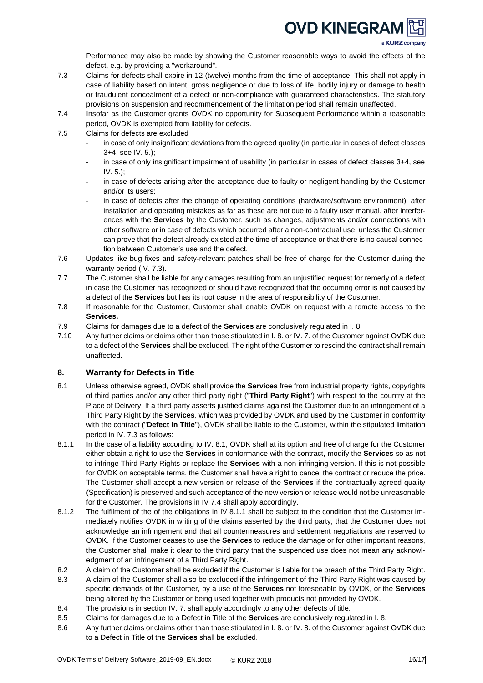

a KURZ company

Performance may also be made by showing the Customer reasonable ways to avoid the effects of the defect, e.g. by providing a "workaround".

- 7.3 Claims for defects shall expire in 12 (twelve) months from the time of acceptance. This shall not apply in case of liability based on intent, gross negligence or due to loss of life, bodily injury or damage to health or fraudulent concealment of a defect or non-compliance with guaranteed characteristics. The statutory provisions on suspension and recommencement of the limitation period shall remain unaffected.
- 7.4 Insofar as the Customer grants OVDK no opportunity for Subsequent Performance within a reasonable period, OVDK is exempted from liability for defects.
- 7.5 Claims for defects are excluded
	- in case of only insignificant deviations from the agreed quality (in particular in cases of defect classes 3+4, see IV. 5.);
	- in case of only insignificant impairment of usability (in particular in cases of defect classes 3+4, see IV. 5.);
	- in case of defects arising after the acceptance due to faulty or negligent handling by the Customer and/or its users;
	- in case of defects after the change of operating conditions (hardware/software environment), after installation and operating mistakes as far as these are not due to a faulty user manual, after interferences with the **Services** by the Customer, such as changes, adjustments and/or connections with other software or in case of defects which occurred after a non-contractual use, unless the Customer can prove that the defect already existed at the time of acceptance or that there is no causal connection between Customer's use and the defect.
- 7.6 Updates like bug fixes and safety-relevant patches shall be free of charge for the Customer during the warranty period (IV. 7.3).
- 7.7 The Customer shall be liable for any damages resulting from an unjustified request for remedy of a defect in case the Customer has recognized or should have recognized that the occurring error is not caused by a defect of the **Services** but has its root cause in the area of responsibility of the Customer.
- 7.8 If reasonable for the Customer, Customer shall enable OVDK on request with a remote access to the **Services.**
- 7.9 Claims for damages due to a defect of the **Services** are conclusively regulated in I. 8.
- 7.10 Any further claims or claims other than those stipulated in I. 8. or IV. 7. of the Customer against OVDK due to a defect of the **Services** shall be excluded. The right of the Customer to rescind the contract shall remain unaffected.

## <span id="page-15-0"></span>**8. Warranty for Defects in Title**

- 8.1 Unless otherwise agreed, OVDK shall provide the **Services** free from industrial property rights, copyrights of third parties and/or any other third party right ("**Third Party Right**") with respect to the country at the Place of Delivery. If a third party asserts justified claims against the Customer due to an infringement of a Third Party Right by the **Services**, which was provided by OVDK and used by the Customer in conformity with the contract ("**Defect in Title**"), OVDK shall be liable to the Customer, within the stipulated limitation period in IV. 7.3 as follows:
- 8.1.1 In the case of a liability according to IV. 8.1, OVDK shall at its option and free of charge for the Customer either obtain a right to use the **Services** in conformance with the contract, modify the **Services** so as not to infringe Third Party Rights or replace the **Services** with a non-infringing version. If this is not possible for OVDK on acceptable terms, the Customer shall have a right to cancel the contract or reduce the price. The Customer shall accept a new version or release of the **Services** if the contractually agreed quality (Specification) is preserved and such acceptance of the new version or release would not be unreasonable for the Customer. The provisions in IV 7.4 shall apply accordingly.
- 8.1.2 The fulfilment of the of the obligations in IV 8.1.1 shall be subject to the condition that the Customer immediately notifies OVDK in writing of the claims asserted by the third party, that the Customer does not acknowledge an infringement and that all countermeasures and settlement negotiations are reserved to OVDK. If the Customer ceases to use the **Services** to reduce the damage or for other important reasons, the Customer shall make it clear to the third party that the suspended use does not mean any acknowledgment of an infringement of a Third Party Right.
- 8.2 A claim of the Customer shall be excluded if the Customer is liable for the breach of the Third Party Right.
- 8.3 A claim of the Customer shall also be excluded if the infringement of the Third Party Right was caused by specific demands of the Customer, by a use of the **Services** not foreseeable by OVDK, or the **Services** being altered by the Customer or being used together with products not provided by OVDK.
- 8.4 The provisions in section IV. 7. shall apply accordingly to any other defects of title.
- 8.5 Claims for damages due to a Defect in Title of the **Services** are conclusively regulated in I. 8.
- 8.6 Any further claims or claims other than those stipulated in I. 8. or IV. 8. of the Customer against OVDK due to a Defect in Title of the **Services** shall be excluded.